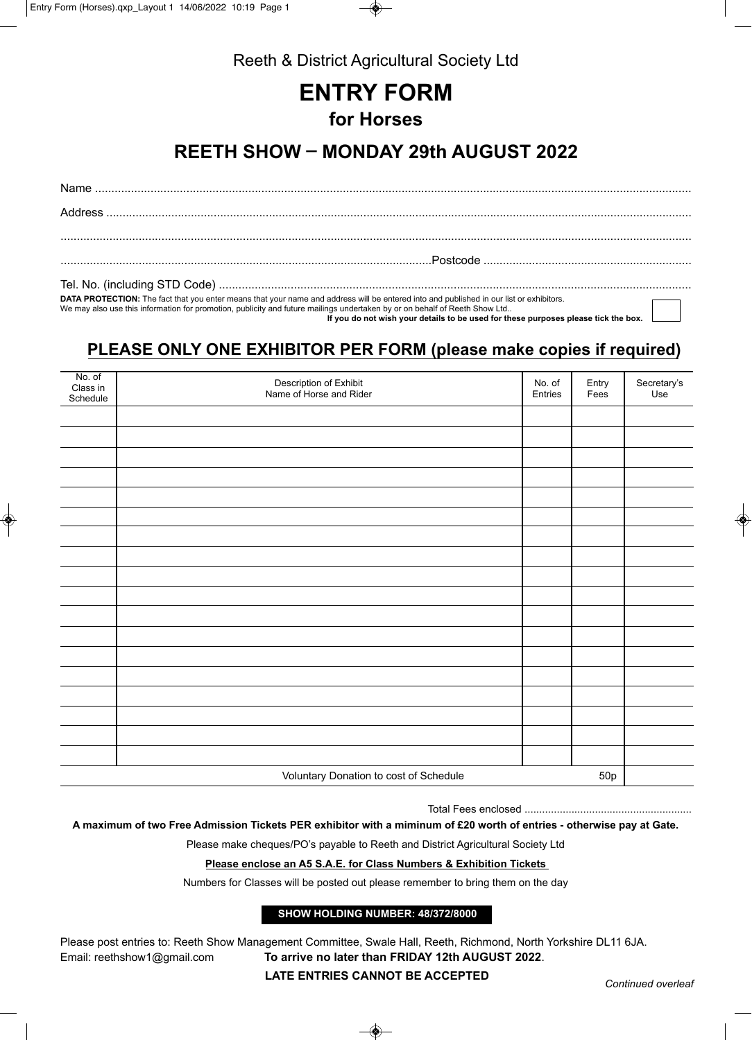

Reeth & District Agricultural Society Ltd

# **ENTRY FORM for Horses**

## **REETH SHOW \_ MONDAY 29th AUGUST 2022**

Name ....................................................................................................................................................................................... Address .................................................................................................................................................................................... ..................................................................................................................................................................................................

..................................................................................................................Postcode ................................................................

Tel. No. (including STD Code) .................................................................................................................................................

**DATA PROTECTION:** The fact that you enter means that your name and address will be entered into and published in our list or exhibitors.

We may also use this information for promotion, publicity and future mailings undertaken by or on behalf of Reeth Show Ltd..

 **If you do not wish your details to be used for these purposes please tick the box.**

### **PLEASE ONLY ONE EXHIBITOR PER FORM (please make copies if required)**

| No. of<br>Class in<br>Schedule | Description of Exhibit<br>Name of Horse and Rider | No. of<br>Entries | Entry<br>Fees | Secretary's<br>Use |
|--------------------------------|---------------------------------------------------|-------------------|---------------|--------------------|
|                                |                                                   |                   |               |                    |
|                                |                                                   |                   |               |                    |
|                                |                                                   |                   |               |                    |
|                                |                                                   |                   |               |                    |
|                                |                                                   |                   |               |                    |
|                                |                                                   |                   |               |                    |
|                                |                                                   |                   |               |                    |
|                                |                                                   |                   |               |                    |
|                                |                                                   |                   |               |                    |
|                                |                                                   |                   |               |                    |
|                                |                                                   |                   |               |                    |
|                                |                                                   |                   |               |                    |
|                                |                                                   |                   |               |                    |
|                                |                                                   |                   |               |                    |
|                                |                                                   |                   |               |                    |
|                                |                                                   |                   |               |                    |
|                                |                                                   |                   |               |                    |
|                                |                                                   |                   |               |                    |
|                                | Voluntary Donation to cost of Schedule            |                   | 50p           |                    |

Total Fees enclosed .........................................................

**A maximum of two Free Admission Tickets PER exhibitor with a miminum of £20 worth of entries - otherwise pay at Gate.**

Please make cheques/PO's payable to Reeth and District Agricultural Society Ltd

### **Please enclose an A5 S.A.E. for Class Numbers & Exhibition Tickets**

Numbers for Classes will be posted out please remember to bring them on the day

#### **SHOW HOLDING NUMBER: 48/372/8000**

Please post entries to: Reeth Show Management Committee, Swale Hall, Reeth, Richmond, North Yorkshire DL11 6JA. Email: reethshow1@gmail.com **To arrive no later than FRIDAY 12th AUGUST 2022**.

**LATE ENTRIES CANNOT BE ACCEPTED** *Continued overleaf*

❀